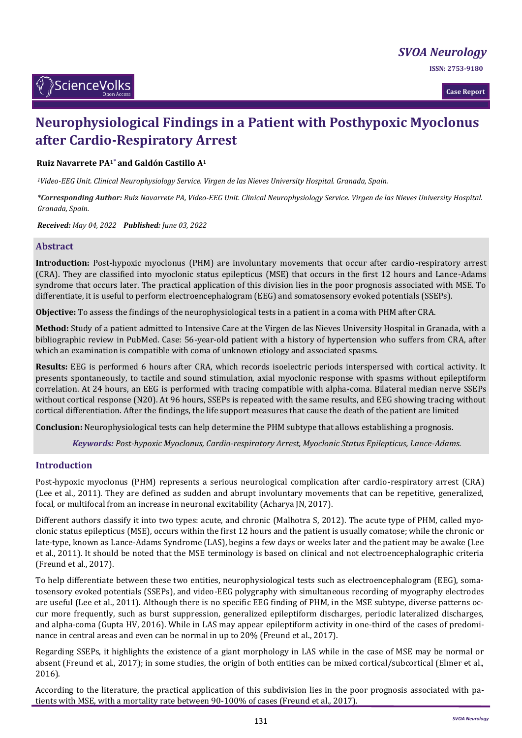*[SVOA Neurology](https://sciencevolks.com/neurology/)*

**ISSN: 2753-9180** 



**Case Report**

# **Neurophysiological Findings in a Patient with Posthypoxic Myoclonus after Cardio-Respiratory Arrest**

### **Ruiz Navarrete PA1\* and Galdón Castillo A<sup>1</sup>**

*<sup>1</sup>Video-EEG Unit. Clinical Neurophysiology Service. Virgen de las Nieves University Hospital. Granada, Spain.*

*\*Corresponding Author: Ruiz Navarrete PA, Video-EEG Unit. Clinical Neurophysiology Service. Virgen de las Nieves University Hospital. Granada, Spain.*

*Received: May 04, 2022 Published: June 03, 2022*

#### **Abstract**

**Introduction:** Post-hypoxic myoclonus (PHM) are involuntary movements that occur after cardio-respiratory arrest (CRA). They are classified into myoclonic status epilepticus (MSE) that occurs in the first 12 hours and Lance-Adams syndrome that occurs later. The practical application of this division lies in the poor prognosis associated with MSE. To differentiate, it is useful to perform electroencephalogram (EEG) and somatosensory evoked potentials (SSEPs).

**Objective:** To assess the findings of the neurophysiological tests in a patient in a coma with PHM after CRA.

**Method:** Study of a patient admitted to Intensive Care at the Virgen de las Nieves University Hospital in Granada, with a bibliographic review in PubMed. Case: 56-year-old patient with a history of hypertension who suffers from CRA, after which an examination is compatible with coma of unknown etiology and associated spasms.

**Results:** EEG is performed 6 hours after CRA, which records isoelectric periods interspersed with cortical activity. It presents spontaneously, to tactile and sound stimulation, axial myoclonic response with spasms without epileptiform correlation. At 24 hours, an EEG is performed with tracing compatible with alpha-coma. Bilateral median nerve SSEPs without cortical response (N20). At 96 hours, SSEPs is repeated with the same results, and EEG showing tracing without cortical differentiation. After the findings, the life support measures that cause the death of the patient are limited

**Conclusion:** Neurophysiological tests can help determine the PHM subtype that allows establishing a prognosis.

*Keywords: Post-hypoxic Myoclonus, Cardio-respiratory Arrest, Myoclonic Status Epilepticus, Lance-Adams.*

### **Introduction**

Post-hypoxic myoclonus (PHM) represents a serious neurological complication after cardio-respiratory arrest (CRA) (Lee et al., 2011). They are defined as sudden and abrupt involuntary movements that can be repetitive, generalized, focal, or multifocal from an increase in neuronal excitability (Acharya JN, 2017).

Different authors classify it into two types: acute, and chronic (Malhotra S, 2012). The acute type of PHM, called myoclonic status epilepticus (MSE), occurs within the first 12 hours and the patient is usually comatose; while the chronic or late-type, known as Lance-Adams Syndrome (LAS), begins a few days or weeks later and the patient may be awake (Lee et al., 2011). It should be noted that the MSE terminology is based on clinical and not electroencephalographic criteria (Freund et al., 2017).

To help differentiate between these two entities, neurophysiological tests such as electroencephalogram (EEG), somatosensory evoked potentials (SSEPs), and video-EEG polygraphy with simultaneous recording of myography electrodes are useful (Lee et al., 2011). Although there is no specific EEG finding of PHM, in the MSE subtype, diverse patterns occur more frequently, such as burst suppression, generalized epileptiform discharges, periodic lateralized discharges, and alpha-coma (Gupta HV, 2016). While in LAS may appear epileptiform activity in one-third of the cases of predominance in central areas and even can be normal in up to 20% (Freund et al., 2017).

Regarding SSEPs, it highlights the existence of a giant morphology in LAS while in the case of MSE may be normal or absent (Freund et al., 2017); in some studies, the origin of both entities can be mixed cortical/subcortical (Elmer et al., 2016).

According to the literature, the practical application of this subdivision lies in the poor prognosis associated with patients with MSE, with a mortality rate between 90-100% of cases (Freund et al., 2017).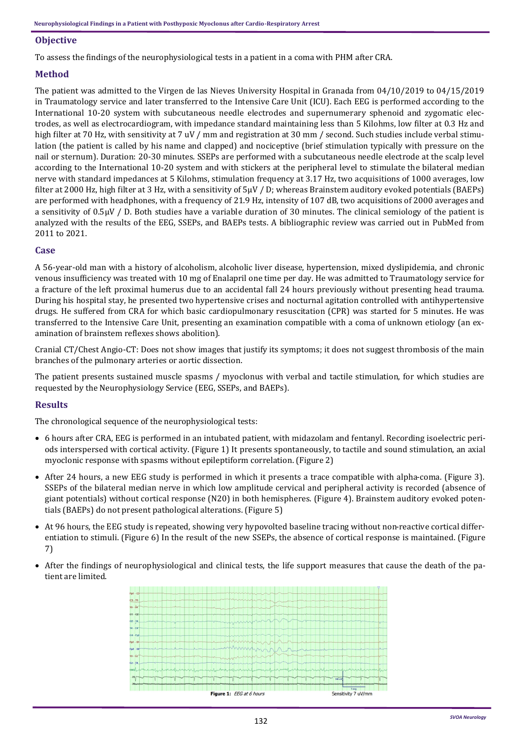## **Objective**

To assess the findings of the neurophysiological tests in a patient in a coma with PHM after CRA.

# **Method**

The patient was admitted to the Virgen de las Nieves University Hospital in Granada from 04/10/2019 to 04/15/2019 in Traumatology service and later transferred to the Intensive Care Unit (ICU). Each EEG is performed according to the International 10-20 system with subcutaneous needle electrodes and supernumerary sphenoid and zygomatic electrodes, as well as electrocardiogram, with impedance standard maintaining less than 5 Kilohms, low filter at 0.3 Hz and high filter at 70 Hz, with sensitivity at 7 uV / mm and registration at 30 mm / second. Such studies include verbal stimulation (the patient is called by his name and clapped) and nociceptive (brief stimulation typically with pressure on the nail or sternum). Duration: 20-30 minutes. SSEPs are performed with a subcutaneous needle electrode at the scalp level according to the International 10-20 system and with stickers at the peripheral level to stimulate the bilateral median nerve with standard impedances at 5 Kilohms, stimulation frequency at 3.17 Hz, two acquisitions of 1000 averages, low filter at 2000 Hz, high filter at 3 Hz, with a sensitivity of 5µV / D; whereas Brainstem auditory evoked potentials (BAEPs) are performed with headphones, with a frequency of 21.9 Hz, intensity of 107 dB, two acquisitions of 2000 averages and a sensitivity of 0.5µV / D. Both studies have a variable duration of 30 minutes. The clinical semiology of the patient is analyzed with the results of the EEG, SSEPs, and BAEPs tests. A bibliographic review was carried out in PubMed from 2011 to 2021.

#### **Case**

A 56-year-old man with a history of alcoholism, alcoholic liver disease, hypertension, mixed dyslipidemia, and chronic venous insufficiency was treated with 10 mg of Enalapril one time per day. He was admitted to Traumatology service for a fracture of the left proximal humerus due to an accidental fall 24 hours previously without presenting head trauma. During his hospital stay, he presented two hypertensive crises and nocturnal agitation controlled with antihypertensive drugs. He suffered from CRA for which basic cardiopulmonary resuscitation (CPR) was started for 5 minutes. He was transferred to the Intensive Care Unit, presenting an examination compatible with a coma of unknown etiology (an examination of brainstem reflexes shows abolition).

Cranial CT/Chest Angio-CT: Does not show images that justify its symptoms; it does not suggest thrombosis of the main branches of the pulmonary arteries or aortic dissection.

The patient presents sustained muscle spasms / myoclonus with verbal and tactile stimulation, for which studies are requested by the Neurophysiology Service (EEG, SSEPs, and BAEPs).

#### **Results**

The chronological sequence of the neurophysiological tests:

- 6 hours after CRA, EEG is performed in an intubated patient, with midazolam and fentanyl. Recording isoelectric periods interspersed with cortical activity. (Figure 1) It presents spontaneously, to tactile and sound stimulation, an axial myoclonic response with spasms without epileptiform correlation. (Figure 2)
- After 24 hours, a new EEG study is performed in which it presents a trace compatible with alpha-coma. (Figure 3). SSEPs of the bilateral median nerve in which low amplitude cervical and peripheral activity is recorded (absence of giant potentials) without cortical response (N20) in both hemispheres. (Figure 4). Brainstem auditory evoked potentials (BAEPs) do not present pathological alterations. (Figure 5)
- At 96 hours, the EEG study is repeated, showing very hypovolted baseline tracing without non-reactive cortical differentiation to stimuli. (Figure 6) In the result of the new SSEPs, the absence of cortical response is maintained. (Figure 7)
- After the findings of neurophysiological and clinical tests, the life support measures that cause the death of the patient are limited.

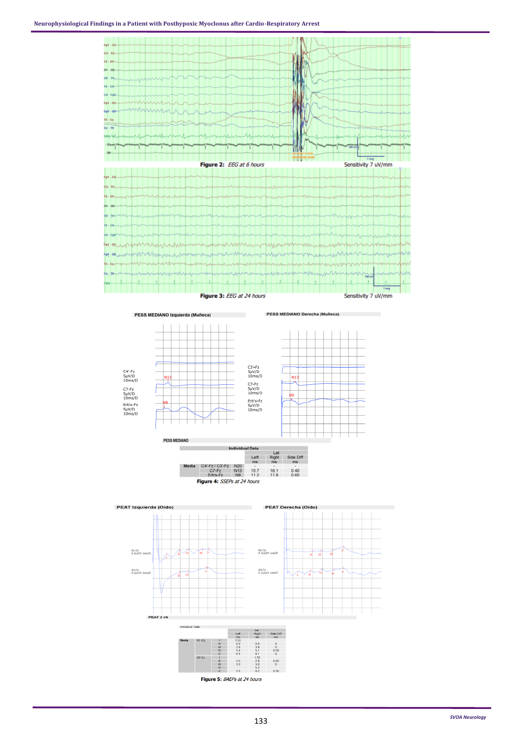

PESS MEDIANO Izquierda (Muñeca)

PESS MEDIANO Derecha (Muñeca)



|                                    | 111611VR111241 122124 |                       |                 |                |                |                |
|------------------------------------|-----------------------|-----------------------|-----------------|----------------|----------------|----------------|
|                                    |                       |                       |                 | Lat            |                |                |
|                                    |                       |                       |                 | Left           | Right          | Side Diff      |
|                                    |                       |                       |                 | ms             | ms             | ms             |
|                                    | Media                 | $C4'$ -Fz / $C3'$ -Fz | <b>N20</b>      | $\overline{a}$ | $\blacksquare$ | $\overline{a}$ |
|                                    |                       | $C7-Fz$               | N <sub>13</sub> | 15.7           | 16.1           | 0.40           |
|                                    |                       | Erb's-Fz              | N <sub>9</sub>  | 11.2           | 11.8           | 0.60           |
| <b>Figure 4: SSEPs at 24 hours</b> |                       |                       |                 |                |                |                |

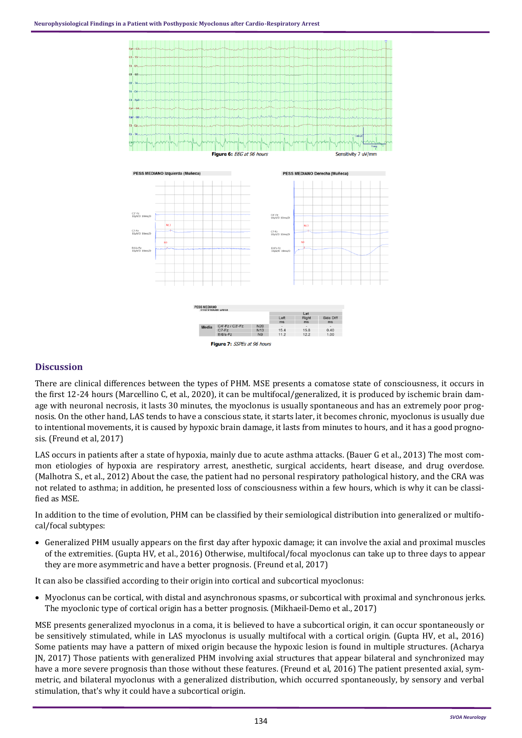

### **Discussion**

There are clinical differences between the types of PHM. MSE presents a comatose state of consciousness, it occurs in the first 12-24 hours (Marcellino C, et al., 2020), it can be multifocal/generalized, it is produced by ischemic brain damage with neuronal necrosis, it lasts 30 minutes, the myoclonus is usually spontaneous and has an extremely poor prognosis. On the other hand, LAS tends to have a conscious state, it starts later, it becomes chronic, myoclonus is usually due to intentional movements, it is caused by hypoxic brain damage, it lasts from minutes to hours, and it has a good prognosis. (Freund et al, 2017)

LAS occurs in patients after a state of hypoxia, mainly due to acute asthma attacks. (Bauer G et al., 2013) The most common etiologies of hypoxia are respiratory arrest, anesthetic, surgical accidents, heart disease, and drug overdose. (Malhotra S., et al., 2012) About the case, the patient had no personal respiratory pathological history, and the CRA was not related to asthma; in addition, he presented loss of consciousness within a few hours, which is why it can be classified as MSE.

In addition to the time of evolution, PHM can be classified by their semiological distribution into generalized or multifocal/focal subtypes:

• Generalized PHM usually appears on the first day after hypoxic damage; it can involve the axial and proximal muscles of the extremities. (Gupta HV, et al., 2016) Otherwise, multifocal/focal myoclonus can take up to three days to appear they are more asymmetric and have a better prognosis. (Freund et al, 2017)

It can also be classified according to their origin into cortical and subcortical myoclonus:

• Myoclonus can be cortical, with distal and asynchronous spasms, or subcortical with proximal and synchronous jerks. The myoclonic type of cortical origin has a better prognosis. (Mikhaeil-Demo et al., 2017)

MSE presents generalized myoclonus in a coma, it is believed to have a subcortical origin, it can occur spontaneously or be sensitively stimulated, while in LAS myoclonus is usually multifocal with a cortical origin. (Gupta HV, et al., 2016) Some patients may have a pattern of mixed origin because the hypoxic lesion is found in multiple structures. (Acharya JN, 2017) Those patients with generalized PHM involving axial structures that appear bilateral and synchronized may have a more severe prognosis than those without these features. (Freund et al, 2016) The patient presented axial, symmetric, and bilateral myoclonus with a generalized distribution, which occurred spontaneously, by sensory and verbal stimulation, that's why it could have a subcortical origin.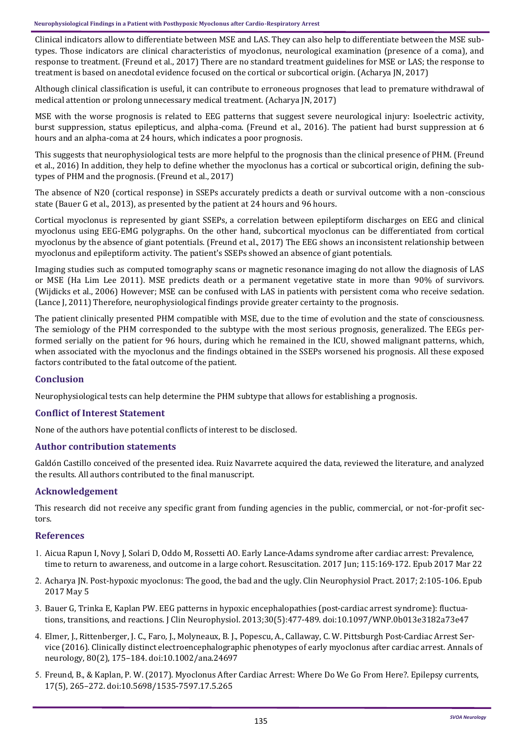Clinical indicators allow to differentiate between MSE and LAS. They can also help to differentiate between the MSE subtypes. Those indicators are clinical characteristics of myoclonus, neurological examination (presence of a coma), and response to treatment. (Freund et al., 2017) There are no standard treatment guidelines for MSE or LAS; the response to treatment is based on anecdotal evidence focused on the cortical or subcortical origin. (Acharya JN, 2017)

Although clinical classification is useful, it can contribute to erroneous prognoses that lead to premature withdrawal of medical attention or prolong unnecessary medical treatment. (Acharya JN, 2017)

MSE with the worse prognosis is related to EEG patterns that suggest severe neurological injury: Isoelectric activity, burst suppression, status epilepticus, and alpha-coma. (Freund et al., 2016). The patient had burst suppression at 6 hours and an alpha-coma at 24 hours, which indicates a poor prognosis.

This suggests that neurophysiological tests are more helpful to the prognosis than the clinical presence of PHM. (Freund et al., 2016) In addition, they help to define whether the myoclonus has a cortical or subcortical origin, defining the subtypes of PHM and the prognosis. (Freund et al., 2017)

The absence of N20 (cortical response) in SSEPs accurately predicts a death or survival outcome with a non-conscious state (Bauer G et al., 2013), as presented by the patient at 24 hours and 96 hours.

Cortical myoclonus is represented by giant SSEPs, a correlation between epileptiform discharges on EEG and clinical myoclonus using EEG-EMG polygraphs. On the other hand, subcortical myoclonus can be differentiated from cortical myoclonus by the absence of giant potentials. (Freund et al., 2017) The EEG shows an inconsistent relationship between myoclonus and epileptiform activity. The patient's SSEPs showed an absence of giant potentials.

Imaging studies such as computed tomography scans or magnetic resonance imaging do not allow the diagnosis of LAS or MSE (Ha Lim Lee 2011). MSE predicts death or a permanent vegetative state in more than 90% of survivors. (Wijdicks et al., 2006) However; MSE can be confused with LAS in patients with persistent coma who receive sedation. (Lance J, 2011) Therefore, neurophysiological findings provide greater certainty to the prognosis.

The patient clinically presented PHM compatible with MSE, due to the time of evolution and the state of consciousness. The semiology of the PHM corresponded to the subtype with the most serious prognosis, generalized. The EEGs performed serially on the patient for 96 hours, during which he remained in the ICU, showed malignant patterns, which, when associated with the myoclonus and the findings obtained in the SSEPs worsened his prognosis. All these exposed factors contributed to the fatal outcome of the patient.

# **Conclusion**

Neurophysiological tests can help determine the PHM subtype that allows for establishing a prognosis.

#### **Conflict of Interest Statement**

None of the authors have potential conflicts of interest to be disclosed.

#### **Author contribution statements**

Galdón Castillo conceived of the presented idea. Ruiz Navarrete acquired the data, reviewed the literature, and analyzed the results. All authors contributed to the final manuscript.

#### **Acknowledgement**

This research did not receive any specific grant from funding agencies in the public, commercial, or not-for-profit sectors.

#### **References**

- [Aicua Rapun I, Novy J, Solari D, Oddo M, Rossetti AO. Early Lance](https://pubmed.ncbi.nlm.nih.gov/28342959/#:~:text=First%20signs%20of%20awareness%20occurred,good%20outcome%20at%203%20months.)-Adams syndrome after cardiac arrest: Prevalence, [time to return to awareness, and outcome in a large cohort. Resuscitation. 2017 Jun; 115:169](https://pubmed.ncbi.nlm.nih.gov/28342959/#:~:text=First%20signs%20of%20awareness%20occurred,good%20outcome%20at%203%20months.)-172. Epub 2017 Mar 22
- 2. Acharya JN. Post-[hypoxic myoclonus: The good, the bad and the ugly. Clin Neurophysiol Pract. 2017; 2:105](https://www.ncbi.nlm.nih.gov/pmc/articles/PMC6123932/)-106. Epub [2017 May 5](https://www.ncbi.nlm.nih.gov/pmc/articles/PMC6123932/)
- 3. [Bauer G, Trinka E, Kaplan PW. EEG patterns in hypoxic encephalopathies \(post](https://pubmed.ncbi.nlm.nih.gov/24084181/)-cardiac arrest syndrome): fluctua[tions, transitions, and reactions. J Clin Neurophysiol. 2013;30\(5\):477](https://pubmed.ncbi.nlm.nih.gov/24084181/)-489. doi:10.1097/WNP.0b013e3182a73e47
- [Elmer, J., Rittenberger, J. C., Faro, J., Molyneaux, B. J., Popescu, A., Callaway, C. W. Pittsburgh Post](https://pubmed.ncbi.nlm.nih.gov/27351833/)-Cardiac Arrest Ser[vice \(2016\). Clinically distinct electroencephalographic phenotypes of early myoclonus after cardiac arrest. Annals of](https://pubmed.ncbi.nlm.nih.gov/27351833/)  neurology, 80(2), 175–184. [doi:10.1002/ana.24697](https://pubmed.ncbi.nlm.nih.gov/27351833/)
- [Freund, B., & Kaplan, P. W. \(2017\). Myoclonus After Cardiac Arrest: Where Do We Go From Here?. Epilepsy currents,](https://pubmed.ncbi.nlm.nih.gov/29225535/)  17(5), 265–272. [doi:10.5698/1535](https://pubmed.ncbi.nlm.nih.gov/29225535/)-7597.17.5.265